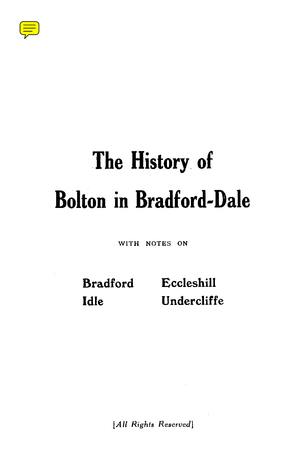

# **The History. of Bolton in Bradford-Dale**

WITH NOTES ON

**Bradford Eccleshill Idle Undercliffe**

[All Rights Reserved]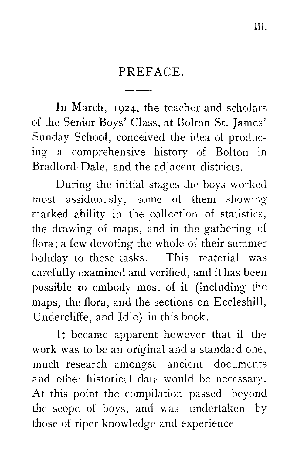### PREFACE.

In March, 1924, the teacher and scholars of the Senior Boys' Class, at Bolton St. James' Sunday School, conceived the idea of producing a comprehensive history of Bolton in Bradford-Dale, and the adjacent districts.

During the initial stages the boys worked most assiduously, some of them showing marked ability in the collection of statistics, the drawing of maps, and in the gathering of flora; a few devoting the whole of their summer holiday to these tasks. This material was carefully examined and verified, and it has been possible to embody most of it (including the maps, the flora, and the sections on Eccleshill, Undercliffe, and Idle) in this book.

It became apparent however that if the work was to be an original and a standard one, much research amongst ancient documents and other historical data would be necessary. At this point the compilation passed beyond the scope of boys, and was undertaken by those of riper knowledge and experience.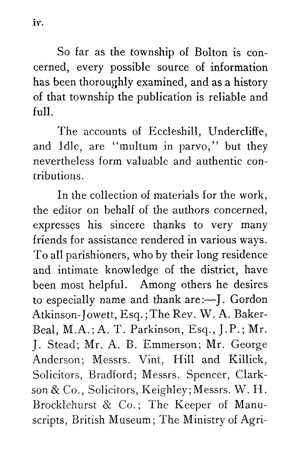So far as the township of Bolton is concerned, every possible source of information has been thoroughly examined, and as a history of that township the publication is reliable and full.

The accounts of Eccleshill, Undercliffe, and Idle, are "multum in parvo," but they nevertheless form valuable and authentic contributions.

In the collection of materials for the work, the editor on behalf of the authors concerned, expresses his sincere thanks to very many friends for assistance rendered in various ways. To all parishioners, who by their long residence and intimate knowledge of the district, have been most helpful. Among others he desires to especially name and thank are :—J. Gordon Atkinson-Jowett, Esq.; The Rev. W. A. Baker-Beal, M.A.; A. T. Parkinson, Esq., J.P.; Mr. J. Stead; Mr. A. B. Emmerson; Mr. George Anderson; Messrs. Vint, Hill and Killick, Solicitors, Bradford; Messrs. Spencer, Clarkson & Co., Solicitors, Keighley; Messrs. W. H. Brocklehurst & Co.; The Keeper of Manuscripts, British Museum; The Ministry of Agri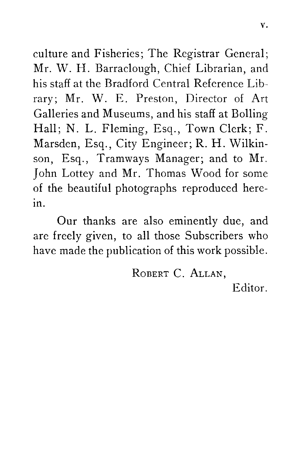culture and Fisheries; The Registrar General; Mr. W. H. Barraclough, Chief Librarian, and his staff at the Bradford Central Reference Library; Mr. W. E. Preston, Director of Art Galleries and Museums, and his staff at Bolling Hall; N. L. Fleming, Esq., Town Clerk; F. Marsden, Esq., City Engineer; R. H. Wilkinson, Esq., Tramways Manager; and to Mr. John Lottey and Mr. Thomas Wood for some of the beautiful photographs reproduced herein.

Our thanks are also eminently due, and are freely given, to all those Subscribers who have made the publication of this work possible.

ROBERT C. ALLAN,

Editor.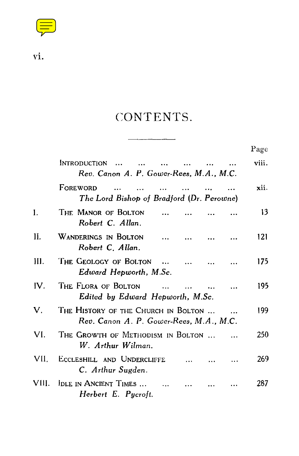

## CONTENTS.

|       |                                                                                | Page  |
|-------|--------------------------------------------------------------------------------|-------|
|       | INTRODUCTION<br>Rev. Canon A. P. Gower-Rees, M.A., M.C.                        | viii. |
|       | FOREWORD<br>$\ddotsc$<br>The Lord Bishop of Bradford (Dr. Perowne)             | xii.  |
| I.    | THE MANOR OF BOLTON<br>Robert C. Allan.                                        | 13    |
| H.    | WANDERINGS IN BOLTON<br>$\ddotsc$<br>Robert C. Allan.                          | 121   |
| Ш.    | The Geology of Bolton<br>$\mathbf{a}$<br>Edward Hepworth, M.Sc.                | 175   |
| IV.   | THE FLORA OF BOLTON<br>$\ddotsc$<br>Edited by Edward Hepworth, M.Sc.           | 195   |
| V.    | THE HISTORY OF THE CHURCH IN BOLTON<br>Rev. Canon A. P. Gower-Rees, M.A., M.C. | 199   |
| VI.   | THE GROWTH OF METHODISM IN BOLTON<br>W. Arthur Wilman.                         | 250   |
| VII.  | ECCLESHILL AND UNDERCLIFFE<br>C. Arthur Sugden.                                | 269   |
| VIII. | IDLE IN ANCIENT TIMES<br>Herbert E. Pycroft.                                   | 287   |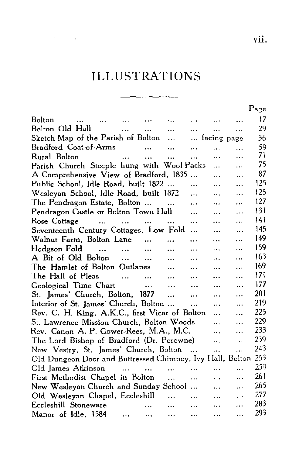## ILLUSTRATIONS

**Contractor** 

|                                                                     |                             |                                   |                          |             |             |           | Page     |  |
|---------------------------------------------------------------------|-----------------------------|-----------------------------------|--------------------------|-------------|-------------|-----------|----------|--|
| Bolton<br>$\ddotsc$<br>$\sim 100$ and $\sim 100$                    | <b>Contract Contract</b>    | $\cdots$                          | $\sim$ $\sim$ $\sim$     | $\cdots$    |             |           | 17       |  |
| Bolton Old Hall                                                     | $\cdots$                    |                                   | <b>Contract Contract</b> | $\cdots$    | $\ddotsc$   | $\ddotsc$ | 29       |  |
|                                                                     |                             |                                   |                          |             | facing page |           | 36       |  |
| Bradford Coat-of-Arms                                               |                             | $\mathbf{11.}$ and $\mathbf{12.}$ |                          | $\ddotsc$   | .           | $\ddotsc$ | 59       |  |
| Rural Bolton<br><b>Contract Contract</b>                            |                             | $\cdots$                          | $\dddot{\phantom{0}}$    | $\cdots$    |             | .         | 71       |  |
| Parish Church Steeple hung with Wool-Packs                          |                             |                                   |                          |             | $\cdots$    | $\ddotsc$ | 75<br>87 |  |
| A Comprehensive View of Bradford, 1835<br>$\ddotsc$<br>$\cdots$     |                             |                                   |                          |             |             |           |          |  |
| Public School, Idle Road, built 1822<br><br>$\cdots$<br>$\cdots$    |                             |                                   |                          |             |             |           |          |  |
| Wesleyan School, Idle Road, built 1872                              |                             |                                   |                          | .           |             | $\cdots$  | 125      |  |
| The Pendragon Estate, Bolton                                        |                             |                                   |                          |             | $\ddotsc$   | $\ddotsc$ | 127      |  |
| Pendragon Castle or Bolton Town Hall                                |                             |                                   |                          | $\cdots$    | $\ddotsc$   | .         | 131      |  |
| Rose Cottage<br>and the same of the same of the same of the         |                             |                                   |                          | $\cdots$    | $\cdots$    | $\ddotsc$ | 141      |  |
| Seventeenth Century Cottages, Low Fold                              |                             |                                   |                          | $\ddotsc$   | $\cdots$    | $\ddotsc$ | 145      |  |
| Walnut Farm, Bolton Lane                                            |                             | $\cdots$                          | $\ddotsc$                |             | .           |           | 149      |  |
| Hodgson Fold                                                        | $\sim$ $\sim$               | $\cdots$                          |                          | $\ddotsc$   | .           | .         | 159      |  |
| A Bit of Old Bolton                                                 | $\dddotsc$                  | $\ddotsc$                         |                          |             | .           | .         | 163      |  |
| The Hamlet of Bolton Outlanes                                       |                             |                                   | $\cdots$                 | .           | .           | $\cdots$  | 169      |  |
| The Hall of Pleas                                                   | $\cdots$                    |                                   | $\ddotsc$                | .           |             |           | 171      |  |
| Geological Time Chart                                               |                             | $\cdots$                          | $\cdots$                 | $\ddotsc$   |             | $\cdots$  | 177      |  |
| St. James' Church, Bolton, 1877                                     |                             |                                   |                          | $\ddotsc$   | $\ddotsc$   | $\cdots$  | 201      |  |
| Interior of St. James' Church, Bolton                               |                             |                                   |                          | $\cdots$    | $\cdots$    |           | 219      |  |
| Rev. C. H. King, A.K.C., first Vicar of Bolton<br>$\ddotsc$<br>.    |                             |                                   |                          |             |             |           |          |  |
| St. Lawrence Mission Church, Bolton Woods<br>$\ddotsc$<br>$\ddotsc$ |                             |                                   |                          |             |             |           |          |  |
| Rev. Canon A. P. Gower-Rees, M.A., M.C.                             |                             |                                   |                          |             |             | $\cdots$  | 233      |  |
| The Lord Bishop of Bradford (Dr. Perowne)                           |                             |                                   |                          |             | $\ddotsc$   | $\ddotsc$ | 239      |  |
| New Vestry, St. James' Church, Bolton                               |                             |                                   |                          | $\sim$ 1.12 | .           | $\ddotsc$ | 243      |  |
| Old Dungeon Door and Buttressed Chimney, Ivy Hall, Bolton           |                             |                                   |                          |             |             |           | 253      |  |
| Old James Atkinson                                                  | and the state of the state. |                                   | $\ddotsc$                |             | $\ddotsc$   | .         | 259      |  |
| First Methodist Chapel in Bolton                                    |                             |                                   | $\ddotsc$                | $\ddotsc$   | $\ddotsc$   | .         | 261      |  |
| New Wesleyan Church and Sunday School                               |                             |                                   |                          |             | $\ddotsc$   | $\cdots$  | 265      |  |
| Old Wesleyan Chapel, Eccleshill                                     |                             |                                   | $\ddotsc$                | $\ddotsc$   | $\ddotsc$   | $\cdots$  | 277      |  |
| Eccleshill Stoneware                                                |                             | $\ddot{\phantom{a}}$              | $\cdots$                 | $\cdots$    | .           | $\cdots$  | 283      |  |
| Manor of Idle, 1584                                                 | $\cdots$                    | $\cdots$                          | $\ddotsc$                |             |             | $\ddotsc$ | 293      |  |
|                                                                     |                             |                                   |                          |             |             |           |          |  |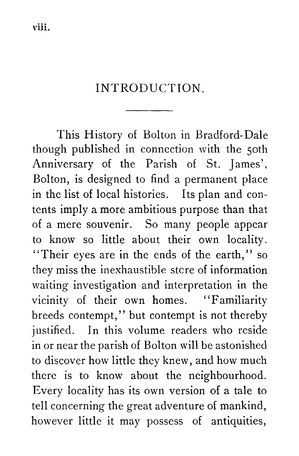## INTRODUCTION.

This History of Bolton in Bradford-Dale though published in connection with the 5oth Anniversary of the Parish of St. James', Bolton, is designed to find a permanent place in the list of local histories. Its plan and contents imply a more ambitious purpose than that of a mere souvenir. So many people appear to know so little about their own locality. "Their eyes are in the ends of the earth," so they miss the inexhaustible stcre of information waiting investigation and interpretation in the vicinity of their own homes. "Familiarity breeds contempt," but contempt is not thereby justified. In this volume readers who reside in or near the parish of Bolton will be astonished to discover how little they knew, and how much there is to know about the neighbourhood. Every locality has its own version of a tale to tell concerning the great adventure of mankind, however little it may possess of antiquities,

viii.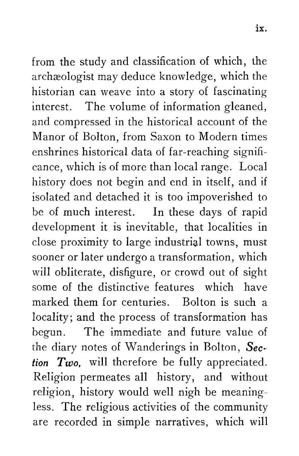from the study and classification of which, the archaeologist may deduce knowledge, which the historian can weave into a story of fascinating interest. The volume of information gleaned, and compressed in the historical account of the Manor of Bolton, from Saxon to Modern times enshrines historical data of far-reaching significance, which is of more than local range. Local history does not begin and end in itself, and if isolated and detached it is too impoverished to be of much interest. In these days of rapid development it is inevitable, that localities in close proximity to large industrial towns, must sooner or later undergo a transformation, which will obliterate, disfigure, or crowd out of sight some of the distinctive features which have marked them for centuries. Bolton is such a locality; and the process of transformation has begun. The immediate and future value of the diary notes of Wanderings in Bolton, *Section Two,* will therefore be fully appreciated. Religion permeates all history, and without religion, history would well nigh be meaningless. The religious activities of the community are recorded in simple narratives, which will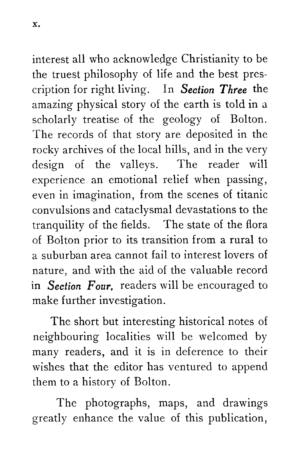interest all who acknowledge Christianity to be the truest philosophy of life and the best prescription for right living. In *Section Three* the amazing physical story of the earth is told in a

scholarly treatise of the geology of Bolton. The records of that story are deposited in the rocky archives of the local hills, and in the very design of the valleys. The reader will experience an emotional relief when passing, even in imagination, from the scenes of titanic convulsions and cataclysmal devastations to the tranquility of the fields. The state of the flora of Bolton prior to its transition from a rural to a suburban area cannot fail to interest lovers of nature, and with the aid of the valuable record **in** *Section Four,* readers will be encouraged to make further investigation.

The short but interesting historical notes of neighbouring localities will be welcomed by many readers, and it is in deference to their wishes that the editor has ventured to append them to a history of Bolton.

The photographs, maps, and drawings greatly enhance the value of this publication,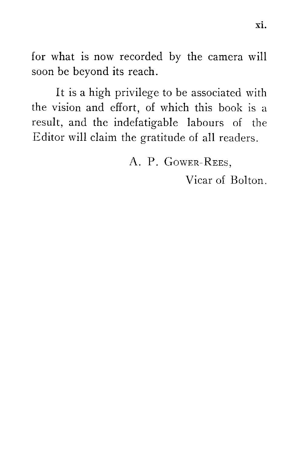for what is now recorded by the camera will soon be beyond its reach.

It is a high privilege to be associated with the vision and effort, of which this book is a result, and the indefatigable labours of the Editor will claim the gratitude of all readers.

A. P. GOWER-REES.

Vicar of Bolton.